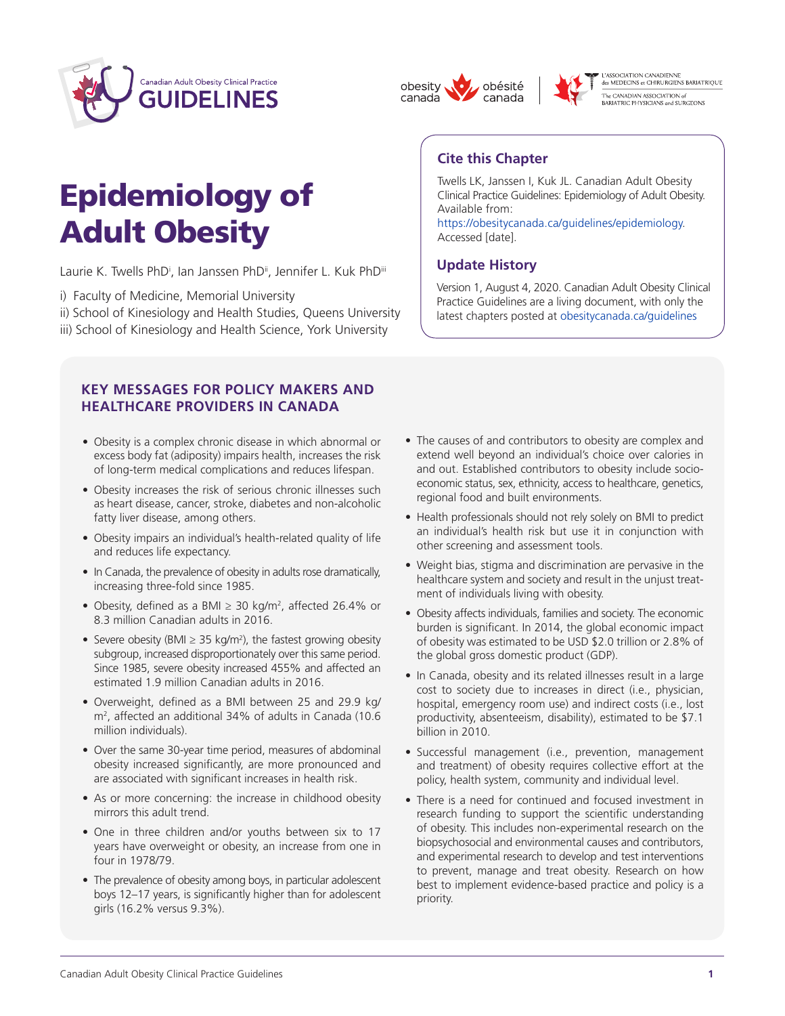

# Epidemiology of Adult Obesity

Laurie K. Twells PhD<sup>i</sup>, Ian Janssen PhD<sup>ii</sup>, Jennifer L. Kuk PhD<sup>iii</sup>

- i) Faculty of Medicine, Memorial University
- ii) School of Kinesiology and Health Studies, Queens University
- iii) School of Kinesiology and Health Science, York University

#### **KEY MESSAGES FOR POLICY MAKERS AND HEALTHCARE PROVIDERS IN CANADA**

- Obesity is a complex chronic disease in which abnormal or excess body fat (adiposity) impairs health, increases the risk of long-term medical complications and reduces lifespan.
- Obesity increases the risk of serious chronic illnesses such as heart disease, cancer, stroke, diabetes and non-alcoholic fatty liver disease, among others.
- Obesity impairs an individual's health-related quality of life and reduces life expectancy.
- In Canada, the prevalence of obesity in adults rose dramatically, increasing three-fold since 1985.
- Obesity, defined as a BMI  $\geq$  30 kg/m<sup>2</sup>, affected 26.4% or 8.3 million Canadian adults in 2016.
- Severe obesity (BMI  $\geq$  35 kg/m<sup>2</sup>), the fastest growing obesity subgroup, increased disproportionately over this same period. Since 1985, severe obesity increased 455% and affected an estimated 1.9 million Canadian adults in 2016.
- • Overweight, defined as a BMI between 25 and 29.9 kg/ m<sup>2</sup> , affected an additional 34% of adults in Canada (10.6 million individuals).
- Over the same 30-year time period, measures of abdominal obesity increased significantly, are more pronounced and are associated with significant increases in health risk.
- As or more concerning: the increase in childhood obesity mirrors this adult trend.
- One in three children and/or youths between six to 17 years have overweight or obesity, an increase from one in four in 1978/79.
- The prevalence of obesity among boys, in particular adolescent boys 12–17 years, is significantly higher than for adolescent girls (16.2% versus 9.3%).
- The causes of and contributors to obesity are complex and extend well beyond an individual's choice over calories in and out. Established contributors to obesity include socioeconomic status, sex, ethnicity, access to healthcare, genetics, regional food and built environments.
- Health professionals should not rely solely on BMI to predict an individual's health risk but use it in conjunction with other screening and assessment tools.
- Weight bias, stigma and discrimination are pervasive in the healthcare system and society and result in the unjust treatment of individuals living with obesity.
- Obesity affects individuals, families and society. The economic burden is significant. In 2014, the global economic impact of obesity was estimated to be USD \$2.0 trillion or 2.8% of the global gross domestic product (GDP).
- In Canada, obesity and its related illnesses result in a large cost to society due to increases in direct (i.e., physician, hospital, emergency room use) and indirect costs (i.e., lost productivity, absenteeism, disability), estimated to be \$7.1 billion in 2010.
- Successful management (i.e., prevention, management and treatment) of obesity requires collective effort at the policy, health system, community and individual level.
- There is a need for continued and focused investment in research funding to support the scientific understanding of obesity. This includes non-experimental research on the biopsychosocial and environmental causes and contributors, and experimental research to develop and test interventions to prevent, manage and treat obesity. Research on how best to implement evidence-based practice and policy is a priority.

## **Cite this Chapter**

obésité

canada

obesity

canada

Twells LK, Janssen I, Kuk JL. Canadian Adult Obesity Clinical Practice Guidelines: Epidemiology of Adult Obesity. Available from:

L'ASSOCIATION CANADIENNE<br>des MEDECINS et CHIRURGIENS BARIATRIQUE

[https://obesitycanada.ca/guidelines/epidemiology.](https://obesitycanada.ca/guidelines/epidemiology/) Accessed [date].

### **Update History**

Version 1, August 4, 2020. Canadian Adult Obesity Clinical Practice Guidelines are a living document, with only the latest chapters posted at [obesitycanada.ca/guidelines](https://obesitycanada.ca/guidelines/)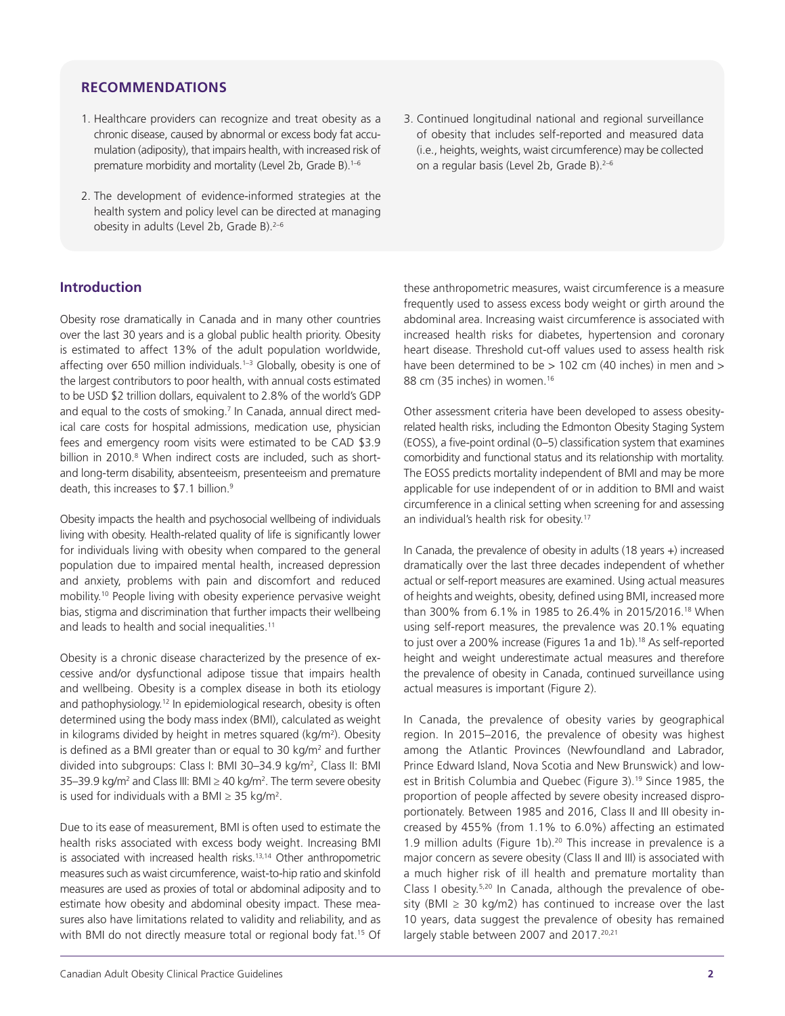#### **RECOMMENDATIONS**

- 1. Healthcare providers can recognize and treat obesity as a chronic disease, caused by abnormal or excess body fat accumulation (adiposity), that impairs health, with increased risk of premature morbidity and mortality (Level 2b, Grade B).<sup>1-6</sup>
- 2. The development of evidence-informed strategies at the health system and policy level can be directed at managing obesity in adults (Level 2b, Grade B).<sup>2-6</sup>

#### **Introduction**

Obesity rose dramatically in Canada and in many other countries over the last 30 years and is a global public health priority. Obesity is estimated to affect 13% of the adult population worldwide, affecting over 650 million individuals.<sup>1-3</sup> Globally, obesity is one of the largest contributors to poor health, with annual costs estimated to be USD \$2 trillion dollars, equivalent to 2.8% of the world's GDP and equal to the costs of smoking.<sup>7</sup> In Canada, annual direct medical care costs for hospital admissions, medication use, physician fees and emergency room visits were estimated to be CAD \$3.9 billion in 2010.<sup>8</sup> When indirect costs are included, such as shortand long-term disability, absenteeism, presenteeism and premature death, this increases to \$7.1 billion.<sup>9</sup>

Obesity impacts the health and psychosocial wellbeing of individuals living with obesity. Health-related quality of life is significantly lower for individuals living with obesity when compared to the general population due to impaired mental health, increased depression and anxiety, problems with pain and discomfort and reduced mobility.10 People living with obesity experience pervasive weight bias, stigma and discrimination that further impacts their wellbeing and leads to health and social inequalities.<sup>11</sup>

Obesity is a chronic disease characterized by the presence of excessive and/or dysfunctional adipose tissue that impairs health and wellbeing. Obesity is a complex disease in both its etiology and pathophysiology.<sup>12</sup> In epidemiological research, obesity is often determined using the body mass index (BMI), calculated as weight in kilograms divided by height in metres squared (kg/m<sup>2</sup>). Obesity is defined as a BMI greater than or equal to 30 kg/ $m<sup>2</sup>$  and further divided into subgroups: Class I: BMI 30-34.9 kg/m<sup>2</sup>, Class II: BMI 35–39.9 kg/m<sup>2</sup> and Class III: BMI  $\geq$  40 kg/m<sup>2</sup>. The term severe obesity is used for individuals with a BMI  $\geq$  35 kg/m<sup>2</sup>.

Due to its ease of measurement, BMI is often used to estimate the health risks associated with excess body weight. Increasing BMI is associated with increased health risks.<sup>13,14</sup> Other anthropometric measures such as waist circumference, waist-to-hip ratio and skinfold measures are used as proxies of total or abdominal adiposity and to estimate how obesity and abdominal obesity impact. These measures also have limitations related to validity and reliability, and as with BMI do not directly measure total or regional body fat.<sup>15</sup> Of

these anthropometric measures, waist circumference is a measure frequently used to assess excess body weight or girth around the abdominal area. Increasing waist circumference is associated with increased health risks for diabetes, hypertension and coronary heart disease. Threshold cut-off values used to assess health risk have been determined to be > 102 cm (40 inches) in men and > 88 cm (35 inches) in women.<sup>16</sup>

Other assessment criteria have been developed to assess obesityrelated health risks, including the Edmonton Obesity Staging System (EOSS), a five-point ordinal (0–5) classification system that examines comorbidity and functional status and its relationship with mortality. The EOSS predicts mortality independent of BMI and may be more applicable for use independent of or in addition to BMI and waist circumference in a clinical setting when screening for and assessing an individual's health risk for obesity.17

In Canada, the prevalence of obesity in adults (18 years +) increased dramatically over the last three decades independent of whether actual or self-report measures are examined. Using actual measures of heights and weights, obesity, defined using BMI, increased more than 300% from 6.1% in 1985 to 26.4% in 2015/2016.18 When using self-report measures, the prevalence was 20.1% equating to just over a 200% increase (Figures 1a and 1b).<sup>18</sup> As self-reported height and weight underestimate actual measures and therefore the prevalence of obesity in Canada, continued surveillance using actual measures is important (Figure 2).

In Canada, the prevalence of obesity varies by geographical region. In 2015–2016, the prevalence of obesity was highest among the Atlantic Provinces (Newfoundland and Labrador, Prince Edward Island, Nova Scotia and New Brunswick) and lowest in British Columbia and Quebec (Figure 3).<sup>19</sup> Since 1985, the proportion of people affected by severe obesity increased disproportionately. Between 1985 and 2016, Class II and III obesity increased by 455% (from 1.1% to 6.0%) affecting an estimated 1.9 million adults (Figure 1b).<sup>20</sup> This increase in prevalence is a major concern as severe obesity (Class II and III) is associated with a much higher risk of ill health and premature mortality than Class I obesity.5,20 In Canada, although the prevalence of obesity (BMI  $\geq$  30 kg/m2) has continued to increase over the last 10 years, data suggest the prevalence of obesity has remained largely stable between 2007 and 2017.<sup>20,21</sup>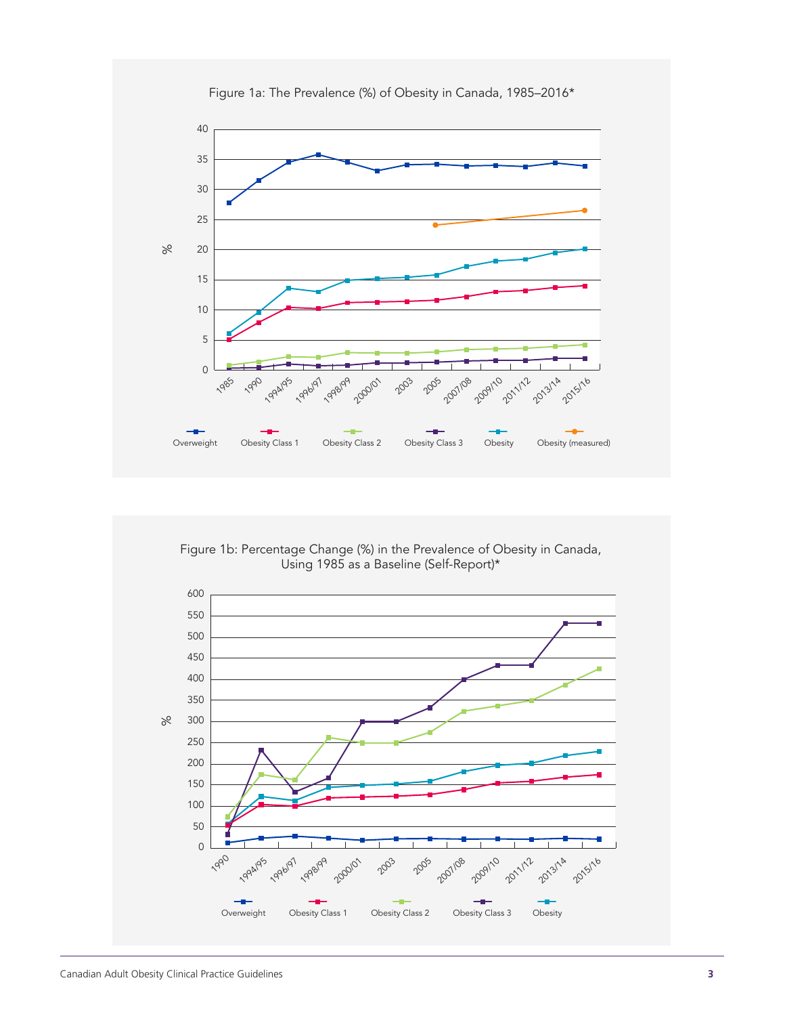

Figure 1a: The Prevalence (%) of Obesity in Canada, 1985–2016\*

Figure 1b: Percentage Change (%) in the Prevalence of Obesity in Canada, Using 1985 as a Baseline (Self-Report)\*

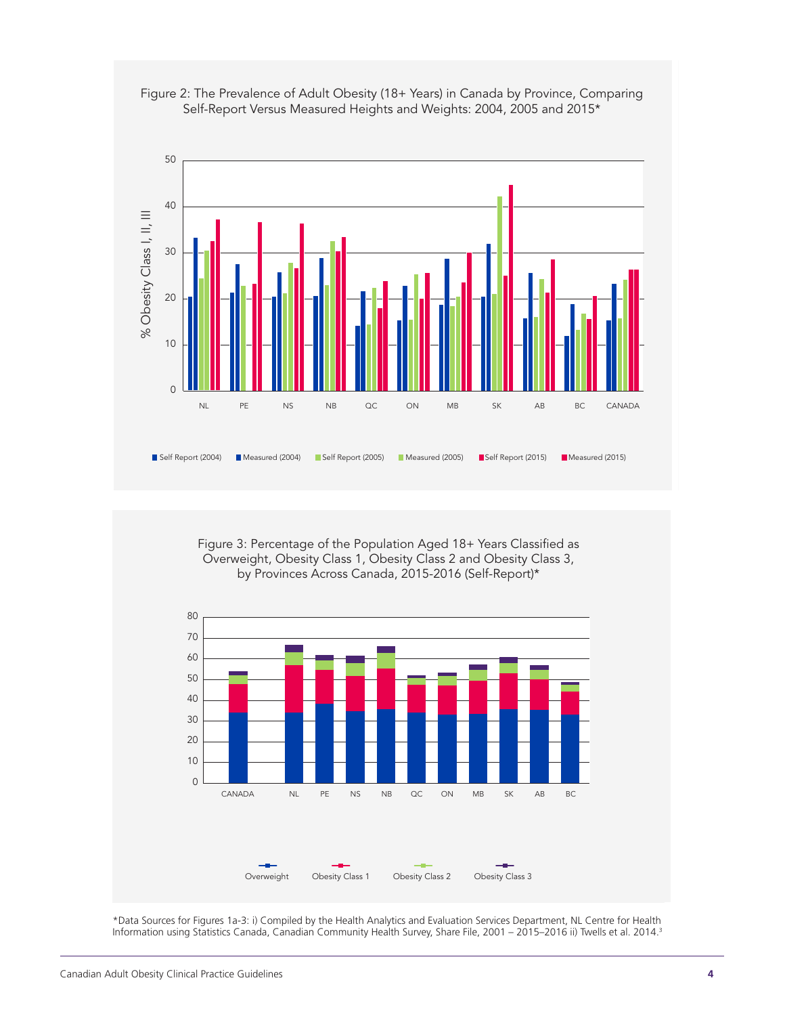



Figure 3: Percentage of the Population Aged 18+ Years Classified as Overweight, Obesity Class 1, Obesity Class 2 and Obesity Class 3, by Provinces Across Canada, 2015-2016 (Self-Report)\*



\*Data Sources for Figures 1a-3: i) Compiled by the Health Analytics and Evaluation Services Department, NL Centre for Health Information using Statistics Canada, Canadian Community Health Survey, Share File, 2001 – 2015–2016 ii) Twells et al. 2014.3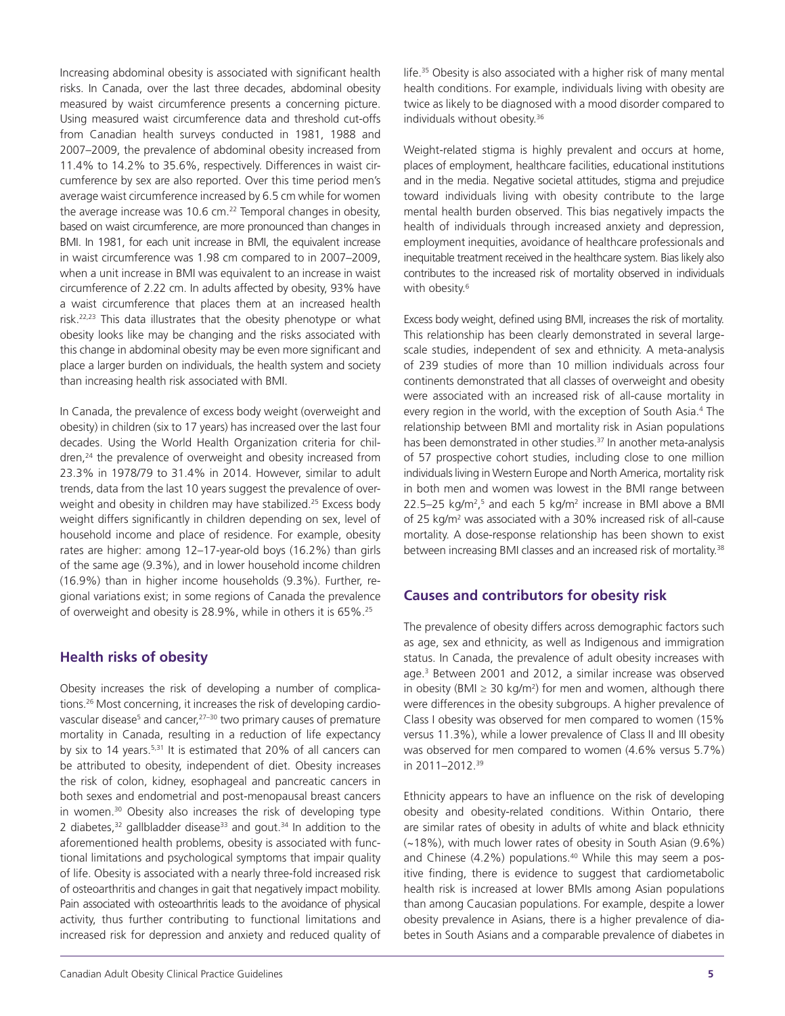Increasing abdominal obesity is associated with significant health risks. In Canada, over the last three decades, abdominal obesity measured by waist circumference presents a concerning picture. Using measured waist circumference data and threshold cut-offs from Canadian health surveys conducted in 1981, 1988 and 2007–2009, the prevalence of abdominal obesity increased from 11.4% to 14.2% to 35.6%, respectively. Differences in waist circumference by sex are also reported. Over this time period men's average waist circumference increased by 6.5 cm while for women the average increase was 10.6 cm.<sup>22</sup> Temporal changes in obesity, based on waist circumference, are more pronounced than changes in BMI. In 1981, for each unit increase in BMI, the equivalent increase in waist circumference was 1.98 cm compared to in 2007–2009, when a unit increase in BMI was equivalent to an increase in waist circumference of 2.22 cm. In adults affected by obesity, 93% have a waist circumference that places them at an increased health risk.<sup>22,23</sup> This data illustrates that the obesity phenotype or what obesity looks like may be changing and the risks associated with this change in abdominal obesity may be even more significant and place a larger burden on individuals, the health system and society than increasing health risk associated with BMI.

In Canada, the prevalence of excess body weight (overweight and obesity) in children (six to 17 years) has increased over the last four decades. Using the World Health Organization criteria for children,<sup>24</sup> the prevalence of overweight and obesity increased from 23.3% in 1978/79 to 31.4% in 2014. However, similar to adult trends, data from the last 10 years suggest the prevalence of overweight and obesity in children may have stabilized.<sup>25</sup> Excess body weight differs significantly in children depending on sex, level of household income and place of residence. For example, obesity rates are higher: among 12–17-year-old boys (16.2%) than girls of the same age (9.3%), and in lower household income children (16.9%) than in higher income households (9.3%). Further, regional variations exist; in some regions of Canada the prevalence of overweight and obesity is 28.9%, while in others it is 65%.25

#### **Health risks of obesity**

Obesity increases the risk of developing a number of complications.26 Most concerning, it increases the risk of developing cardiovascular disease<sup>5</sup> and cancer,<sup>27-30</sup> two primary causes of premature mortality in Canada, resulting in a reduction of life expectancy by six to 14 years.<sup>5,31</sup> It is estimated that 20% of all cancers can be attributed to obesity, independent of diet. Obesity increases the risk of colon, kidney, esophageal and pancreatic cancers in both sexes and endometrial and post-menopausal breast cancers in women.<sup>30</sup> Obesity also increases the risk of developing type 2 diabetes, $32$  gallbladder disease $33$  and gout. $34$  In addition to the aforementioned health problems, obesity is associated with functional limitations and psychological symptoms that impair quality of life. Obesity is associated with a nearly three-fold increased risk of osteoarthritis and changes in gait that negatively impact mobility. Pain associated with osteoarthritis leads to the avoidance of physical activity, thus further contributing to functional limitations and increased risk for depression and anxiety and reduced quality of

life.35 Obesity is also associated with a higher risk of many mental health conditions. For example, individuals living with obesity are twice as likely to be diagnosed with a mood disorder compared to individuals without obesity.<sup>36</sup>

Weight-related stigma is highly prevalent and occurs at home, places of employment, healthcare facilities, educational institutions and in the media. Negative societal attitudes, stigma and prejudice toward individuals living with obesity contribute to the large mental health burden observed. This bias negatively impacts the health of individuals through increased anxiety and depression, employment inequities, avoidance of healthcare professionals and inequitable treatment received in the healthcare system. Bias likely also contributes to the increased risk of mortality observed in individuals with obesity.<sup>6</sup>

Excess body weight, defined using BMI, increases the risk of mortality. This relationship has been clearly demonstrated in several largescale studies, independent of sex and ethnicity. A meta-analysis of 239 studies of more than 10 million individuals across four continents demonstrated that all classes of overweight and obesity were associated with an increased risk of all-cause mortality in every region in the world, with the exception of South Asia.<sup>4</sup> The relationship between BMI and mortality risk in Asian populations has been demonstrated in other studies.<sup>37</sup> In another meta-analysis of 57 prospective cohort studies, including close to one million individuals living in Western Europe and North America, mortality risk in both men and women was lowest in the BMI range between 22.5–25 kg/m²,5 and each 5 kg/m² increase in BMI above a BMI of 25 kg/m<sup>2</sup> was associated with a 30% increased risk of all-cause mortality. A dose-response relationship has been shown to exist between increasing BMI classes and an increased risk of mortality.<sup>38</sup>

#### **Causes and contributors for obesity risk**

The prevalence of obesity differs across demographic factors such as age, sex and ethnicity, as well as Indigenous and immigration status. In Canada, the prevalence of adult obesity increases with age.3 Between 2001 and 2012, a similar increase was observed in obesity (BMI  $\geq$  30 kg/m<sup>2</sup>) for men and women, although there were differences in the obesity subgroups. A higher prevalence of Class I obesity was observed for men compared to women (15% versus 11.3%), while a lower prevalence of Class II and III obesity was observed for men compared to women (4.6% versus 5.7%) in 2011–2012.39

Ethnicity appears to have an influence on the risk of developing obesity and obesity-related conditions. Within Ontario, there are similar rates of obesity in adults of white and black ethnicity (~18%), with much lower rates of obesity in South Asian (9.6%) and Chinese  $(4.2\%)$  populations.<sup>40</sup> While this may seem a positive finding, there is evidence to suggest that cardiometabolic health risk is increased at lower BMIs among Asian populations than among Caucasian populations. For example, despite a lower obesity prevalence in Asians, there is a higher prevalence of diabetes in South Asians and a comparable prevalence of diabetes in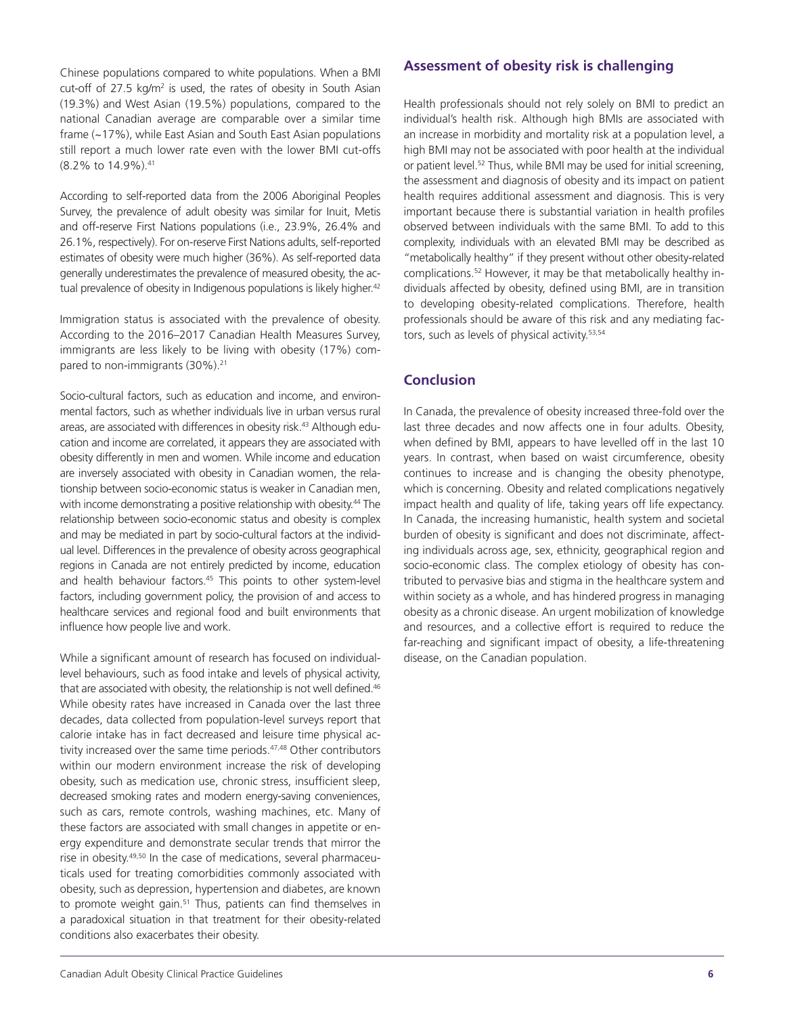Chinese populations compared to white populations. When a BMI cut-off of 27.5 kg/m<sup>2</sup> is used, the rates of obesity in South Asian (19.3%) and West Asian (19.5%) populations, compared to the national Canadian average are comparable over a similar time frame (~17%), while East Asian and South East Asian populations still report a much lower rate even with the lower BMI cut-offs (8.2% to 14.9%).41

According to self-reported data from the 2006 Aboriginal Peoples Survey, the prevalence of adult obesity was similar for Inuit, Metis and off-reserve First Nations populations (i.e., 23.9%, 26.4% and 26.1%, respectively). For on-reserve First Nations adults, self-reported estimates of obesity were much higher (36%). As self-reported data generally underestimates the prevalence of measured obesity, the actual prevalence of obesity in Indigenous populations is likely higher.<sup>42</sup>

Immigration status is associated with the prevalence of obesity. According to the 2016–2017 Canadian Health Measures Survey, immigrants are less likely to be living with obesity (17%) compared to non-immigrants (30%).<sup>21</sup>

Socio-cultural factors, such as education and income, and environmental factors, such as whether individuals live in urban versus rural areas, are associated with differences in obesity risk.<sup>43</sup> Although education and income are correlated, it appears they are associated with obesity differently in men and women. While income and education are inversely associated with obesity in Canadian women, the relationship between socio-economic status is weaker in Canadian men, with income demonstrating a positive relationship with obesity.<sup>44</sup> The relationship between socio-economic status and obesity is complex and may be mediated in part by socio-cultural factors at the individual level. Differences in the prevalence of obesity across geographical regions in Canada are not entirely predicted by income, education and health behaviour factors.<sup>45</sup> This points to other system-level factors, including government policy, the provision of and access to healthcare services and regional food and built environments that influence how people live and work.

While a significant amount of research has focused on individuallevel behaviours, such as food intake and levels of physical activity, that are associated with obesity, the relationship is not well defined.<sup>46</sup> While obesity rates have increased in Canada over the last three decades, data collected from population-level surveys report that calorie intake has in fact decreased and leisure time physical activity increased over the same time periods.<sup>47,48</sup> Other contributors within our modern environment increase the risk of developing obesity, such as medication use, chronic stress, insufficient sleep, decreased smoking rates and modern energy-saving conveniences, such as cars, remote controls, washing machines, etc. Many of these factors are associated with small changes in appetite or energy expenditure and demonstrate secular trends that mirror the rise in obesity.<sup>49,50</sup> In the case of medications, several pharmaceuticals used for treating comorbidities commonly associated with obesity, such as depression, hypertension and diabetes, are known to promote weight gain.<sup>51</sup> Thus, patients can find themselves in a paradoxical situation in that treatment for their obesity-related conditions also exacerbates their obesity.

#### **Assessment of obesity risk is challenging**

Health professionals should not rely solely on BMI to predict an individual's health risk. Although high BMIs are associated with an increase in morbidity and mortality risk at a population level, a high BMI may not be associated with poor health at the individual or patient level.52 Thus, while BMI may be used for initial screening, the assessment and diagnosis of obesity and its impact on patient health requires additional assessment and diagnosis. This is very important because there is substantial variation in health profiles observed between individuals with the same BMI. To add to this complexity, individuals with an elevated BMI may be described as "metabolically healthy" if they present without other obesity-related complications.52 However, it may be that metabolically healthy individuals affected by obesity, defined using BMI, are in transition to developing obesity-related complications. Therefore, health professionals should be aware of this risk and any mediating factors, such as levels of physical activity.<sup>53,54</sup>

#### **Conclusion**

In Canada, the prevalence of obesity increased three-fold over the last three decades and now affects one in four adults. Obesity, when defined by BMI, appears to have levelled off in the last 10 years. In contrast, when based on waist circumference, obesity continues to increase and is changing the obesity phenotype, which is concerning. Obesity and related complications negatively impact health and quality of life, taking years off life expectancy. In Canada, the increasing humanistic, health system and societal burden of obesity is significant and does not discriminate, affecting individuals across age, sex, ethnicity, geographical region and socio-economic class. The complex etiology of obesity has contributed to pervasive bias and stigma in the healthcare system and within society as a whole, and has hindered progress in managing obesity as a chronic disease. An urgent mobilization of knowledge and resources, and a collective effort is required to reduce the far-reaching and significant impact of obesity, a life-threatening disease, on the Canadian population.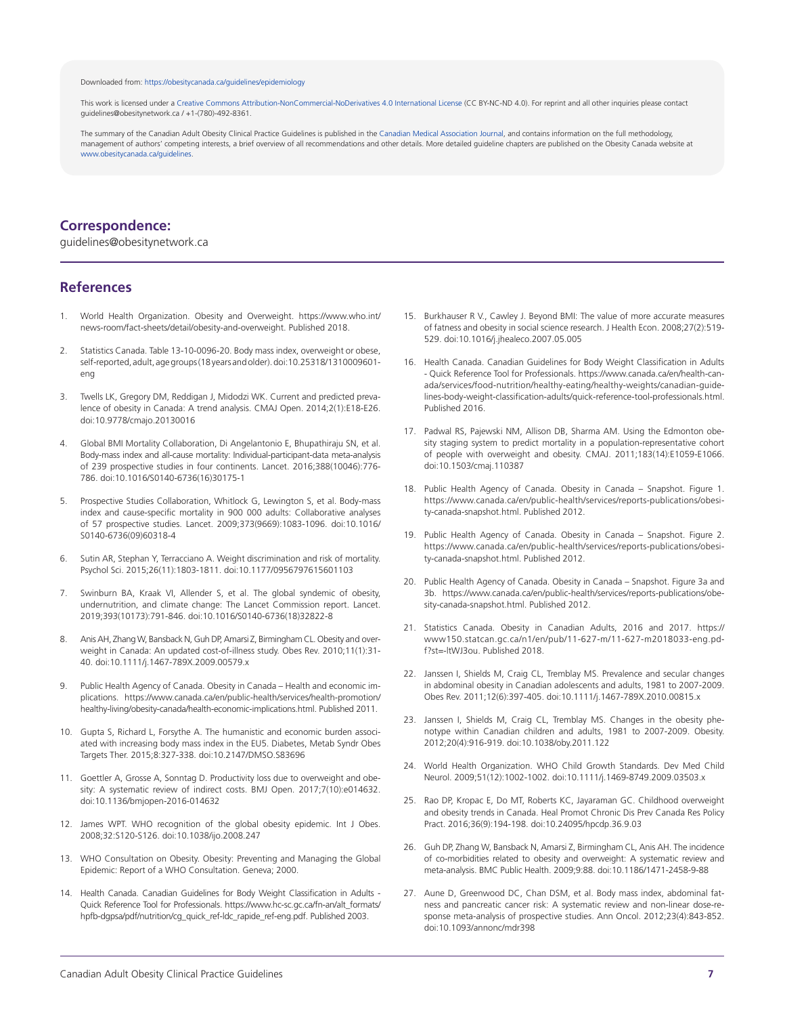#### Downloaded from: [https://obesitycanada.ca/guidelines/epidemiology](https://obesitycanada.ca/guidelines/epidemiology/)

This work is licensed under a Creative Commons [Attribution-NonCommercial-NoDerivatives](https://creativecommons.org/licenses/by-nc-nd/4.0/) 4.0 International License (CC BY-NC-ND 4.0). For reprint and all other inquiries please contact guidelines@obesitynetwork.ca / +1-(780)-492-8361.

The summary of the Canadian Adult Obesity Clinical Practice Guidelines is published in the Canadian Medical [Association](https://www.cmaj.ca/content/192/31/E875) Journal, and contains information on the full methodology, management of authors' competing interests, a brief overview of all recommendations and other details. More detailed guideline chapters are published on the Obesity Canada website at [www.obesitycanada.ca/guidelines.](https://obesitycanada.ca/guidelines/)

#### **Correspondence:**

guidelines@obesitynetwork.ca

#### **References**

- World Health Organization. Obesity and Overweight. https://www.who.int/ news-room/fact-sheets/detail/obesity-and-overweight. Published 2018.
- 2. Statistics Canada. Table 13-10-0096-20. Body mass index, overweight or obese, self-reported, adult, age groups (18 years and older). doi:10.25318/1310009601eng
- 3. Twells LK, Gregory DM, Reddigan J, Midodzi WK. Current and predicted prevalence of obesity in Canada: A trend analysis. CMAJ Open. 2014;2(1):E18-E26. doi:10.9778/cmajo.20130016
- 4. Global BMI Mortality Collaboration, Di Angelantonio E, Bhupathiraju SN, et al. Body-mass index and all-cause mortality: Individual-participant-data meta-analysis of 239 prospective studies in four continents. Lancet. 2016;388(10046):776- 786. doi:10.1016/S0140-6736(16)30175-1
- 5. Prospective Studies Collaboration, Whitlock G, Lewington S, et al. Body-mass index and cause-specific mortality in 900 000 adults: Collaborative analyses of 57 prospective studies. Lancet. 2009;373(9669):1083-1096. doi:10.1016/ S0140-6736(09)60318-4
- 6. Sutin AR, Stephan Y, Terracciano A. Weight discrimination and risk of mortality. Psychol Sci. 2015;26(11):1803-1811. doi:10.1177/0956797615601103
- 7. Swinburn BA, Kraak VI, Allender S, et al. The global syndemic of obesity, undernutrition, and climate change: The Lancet Commission report. Lancet. 2019;393(10173):791-846. doi:10.1016/S0140-6736(18)32822-8
- 8. Anis AH, Zhang W, Bansback N, Guh DP, Amarsi Z, Birmingham CL. Obesity and overweight in Canada: An updated cost-of-illness study. Obes Rev. 2010;11(1):31- 40. doi:10.1111/j.1467-789X.2009.00579.x
- 9. Public Health Agency of Canada. Obesity in Canada Health and economic implications. https://www.canada.ca/en/public-health/services/health-promotion/ healthy-living/obesity-canada/health-economic-implications.html. Published 2011.
- 10. Gupta S, Richard L, Forsythe A. The humanistic and economic burden associated with increasing body mass index in the EU5. Diabetes, Metab Syndr Obes Targets Ther. 2015;8:327-338. doi:10.2147/DMSO.S83696
- 11. Goettler A, Grosse A, Sonntag D. Productivity loss due to overweight and obesity: A systematic review of indirect costs. BMJ Open. 2017;7(10):e014632. doi:10.1136/bmjopen-2016-014632
- 12. James WPT. WHO recognition of the global obesity epidemic. Int J Obes. 2008;32:S120-S126. doi:10.1038/ijo.2008.247
- 13. WHO Consultation on Obesity. Obesity: Preventing and Managing the Global Epidemic: Report of a WHO Consultation. Geneva; 2000.
- 14. Health Canada. Canadian Guidelines for Body Weight Classification in Adults -Quick Reference Tool for Professionals. https://www.hc-sc.gc.ca/fn-an/alt\_formats/ hpfb-dgpsa/pdf/nutrition/cg\_quick\_ref-ldc\_rapide\_ref-eng.pdf. Published 2003.
- 15. Burkhauser R V., Cawley J. Beyond BMI: The value of more accurate measures of fatness and obesity in social science research. J Health Econ. 2008;27(2):519- 529. doi:10.1016/j.jhealeco.2007.05.005
- 16. Health Canada. Canadian Guidelines for Body Weight Classification in Adults - Quick Reference Tool for Professionals. https://www.canada.ca/en/health-canada/services/food-nutrition/healthy-eating/healthy-weights/canadian-guidelines-body-weight-classification-adults/quick-reference-tool-professionals.html. Published 2016.
- 17. Padwal RS, Pajewski NM, Allison DB, Sharma AM. Using the Edmonton obesity staging system to predict mortality in a population-representative cohort of people with overweight and obesity. CMAJ. 2011;183(14):E1059-E1066. doi:10.1503/cmaj.110387
- 18. Public Health Agency of Canada. Obesity in Canada Snapshot. Figure 1. https://www.canada.ca/en/public-health/services/reports-publications/obesity-canada-snapshot.html. Published 2012.
- 19. Public Health Agency of Canada. Obesity in Canada Snapshot. Figure 2. https://www.canada.ca/en/public-health/services/reports-publications/obesity-canada-snapshot.html. Published 2012.
- 20. Public Health Agency of Canada. Obesity in Canada Snapshot. Figure 3a and 3b. https://www.canada.ca/en/public-health/services/reports-publications/obesity-canada-snapshot.html. Published 2012.
- 21. Statistics Canada. Obesity in Canadian Adults, 2016 and 2017. https:// www150.statcan.gc.ca/n1/en/pub/11-627-m/11-627-m2018033-eng.pdf?st=-ltWJ3ou. Published 2018.
- 22. Janssen I, Shields M, Craig CL, Tremblay MS. Prevalence and secular changes in abdominal obesity in Canadian adolescents and adults, 1981 to 2007-2009. Obes Rev. 2011;12(6):397-405. doi:10.1111/j.1467-789X.2010.00815.x
- 23. Janssen I, Shields M, Craig CL, Tremblay MS. Changes in the obesity phenotype within Canadian children and adults, 1981 to 2007-2009. Obesity. 2012;20(4):916-919. doi:10.1038/oby.2011.122
- 24. World Health Organization. WHO Child Growth Standards. Dev Med Child Neurol. 2009;51(12):1002-1002. doi:10.1111/j.1469-8749.2009.03503.x
- 25. Rao DP, Kropac E, Do MT, Roberts KC, Jayaraman GC. Childhood overweight and obesity trends in Canada. Heal Promot Chronic Dis Prev Canada Res Policy Pract. 2016;36(9):194-198. doi:10.24095/hpcdp.36.9.03
- 26. Guh DP, Zhang W, Bansback N, Amarsi Z, Birmingham CL, Anis AH. The incidence of co-morbidities related to obesity and overweight: A systematic review and meta-analysis. BMC Public Health. 2009;9:88. doi:10.1186/1471-2458-9-88
- 27. Aune D, Greenwood DC, Chan DSM, et al. Body mass index, abdominal fatness and pancreatic cancer risk: A systematic review and non-linear dose-response meta-analysis of prospective studies. Ann Oncol. 2012;23(4):843-852. doi:10.1093/annonc/mdr398